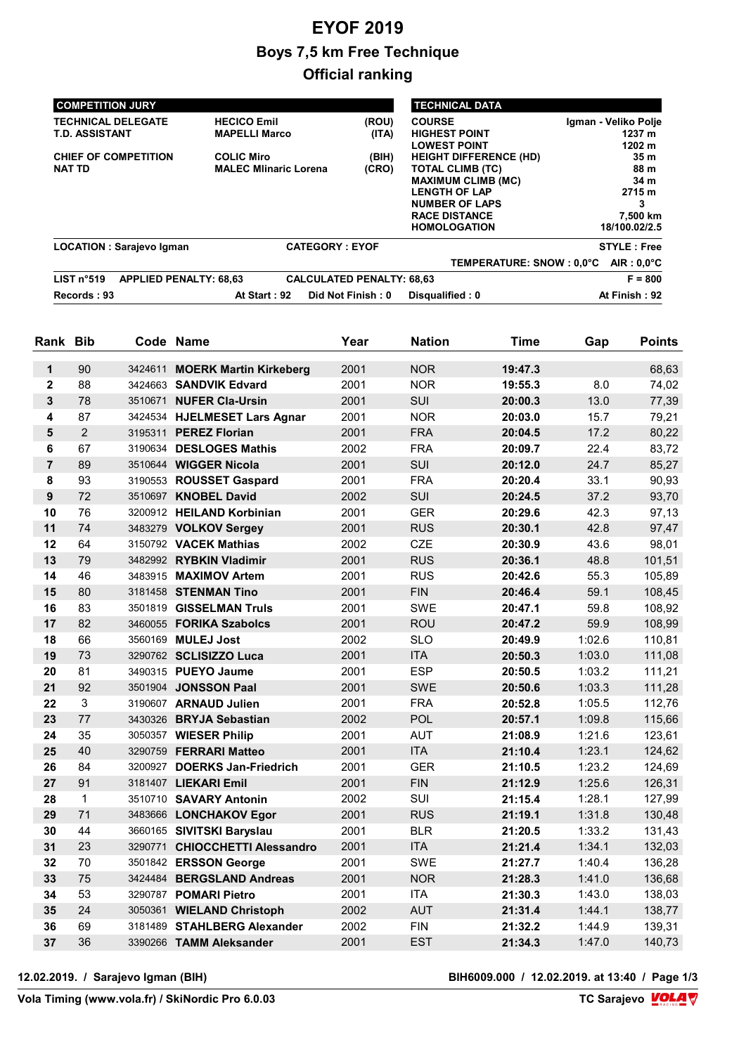# EYOF 2019 Boys 7,5 km Free Technique Official ranking

| <b>COMPETITION JURY</b>                     |                              |                                  | <b>TECHNICAL DATA</b>         |                         |  |
|---------------------------------------------|------------------------------|----------------------------------|-------------------------------|-------------------------|--|
| <b>TECHNICAL DELEGATE</b>                   | <b>HECICO Emil</b>           | (ROU)                            | <b>COURSE</b>                 | Igman - Veliko Polje    |  |
| <b>T.D. ASSISTANT</b>                       | <b>MAPELLI Marco</b>         | (ITA)                            | <b>HIGHEST POINT</b>          | 1237 m                  |  |
|                                             |                              |                                  | <b>LOWEST POINT</b>           | 1202 m                  |  |
| <b>CHIEF OF COMPETITION</b>                 | <b>COLIC Miro</b>            | (BIH)                            | <b>HEIGHT DIFFERENCE (HD)</b> | 35 <sub>m</sub><br>88 m |  |
| <b>NAT TD</b>                               | <b>MALEC Mlinaric Lorena</b> | (CRO)                            | <b>TOTAL CLIMB (TC)</b>       |                         |  |
|                                             |                              |                                  | <b>MAXIMUM CLIMB (MC)</b>     | 34 m                    |  |
|                                             |                              |                                  | <b>LENGTH OF LAP</b>          | 2715 m                  |  |
|                                             |                              |                                  | <b>NUMBER OF LAPS</b>         | 3                       |  |
|                                             |                              |                                  | <b>RACE DISTANCE</b>          | 7,500 km                |  |
|                                             |                              |                                  | <b>HOMOLOGATION</b>           | 18/100.02/2.5           |  |
| <b>LOCATION: Sarajevo Igman</b>             | <b>CATEGORY: EYOF</b>        |                                  |                               | <b>STYLE: Free</b>      |  |
|                                             |                              |                                  | TEMPERATURE: SNOW : 0.0°C     | $AIR: 0.0^{\circ}C$     |  |
| LIST n°519<br><b>APPLIED PENALTY: 68,63</b> |                              | <b>CALCULATED PENALTY: 68,63</b> |                               | $F = 800$               |  |
| Records: 93                                 | At Start: 92                 | Did Not Finish: 0                | Disqualified: 0               | At Finish: 92           |  |

| Rank                    | <b>Bib</b>     |         | Code Name                      | Year | <b>Nation</b> | Time    | Gap    | <b>Points</b> |
|-------------------------|----------------|---------|--------------------------------|------|---------------|---------|--------|---------------|
| $\mathbf{1}$            | 90             | 3424611 | <b>MOERK Martin Kirkeberg</b>  | 2001 | <b>NOR</b>    | 19:47.3 |        | 68,63         |
| $\overline{\mathbf{2}}$ | 88             |         | 3424663 SANDVIK Edvard         | 2001 | <b>NOR</b>    | 19:55.3 | 8.0    | 74,02         |
| $\mathbf{3}$            | 78             |         | 3510671 NUFER Cla-Ursin        | 2001 | SUI           | 20:00.3 | 13.0   | 77,39         |
| 4                       | 87             |         | 3424534 HJELMESET Lars Agnar   | 2001 | <b>NOR</b>    | 20:03.0 | 15.7   | 79,21         |
| 5                       | $\overline{2}$ |         | 3195311 PEREZ Florian          | 2001 | <b>FRA</b>    | 20:04.5 | 17.2   | 80,22         |
| 6                       | 67             |         | 3190634 DESLOGES Mathis        | 2002 | <b>FRA</b>    | 20:09.7 | 22.4   | 83,72         |
| $\overline{7}$          | 89             |         | 3510644 WIGGER Nicola          | 2001 | SUI           | 20:12.0 | 24.7   | 85,27         |
| 8                       | 93             |         | 3190553 ROUSSET Gaspard        | 2001 | <b>FRA</b>    | 20:20.4 | 33.1   | 90,93         |
| 9                       | 72             |         | 3510697 KNOBEL David           | 2002 | SUI           | 20:24.5 | 37.2   | 93,70         |
| 10                      | 76             |         | 3200912 HEILAND Korbinian      | 2001 | <b>GER</b>    | 20:29.6 | 42.3   | 97,13         |
| 11                      | 74             |         | 3483279 VOLKOV Sergey          | 2001 | <b>RUS</b>    | 20:30.1 | 42.8   | 97,47         |
| 12                      | 64             |         | 3150792 VACEK Mathias          | 2002 | <b>CZE</b>    | 20:30.9 | 43.6   | 98,01         |
| 13                      | 79             |         | 3482992 RYBKIN Vladimir        | 2001 | <b>RUS</b>    | 20:36.1 | 48.8   | 101,51        |
| 14                      | 46             |         | 3483915 MAXIMOV Artem          | 2001 | <b>RUS</b>    | 20:42.6 | 55.3   | 105,89        |
| 15                      | 80             |         | 3181458 STENMAN Tino           | 2001 | <b>FIN</b>    | 20:46.4 | 59.1   | 108,45        |
| 16                      | 83             |         | 3501819 GISSELMAN Truls        | 2001 | <b>SWE</b>    | 20:47.1 | 59.8   | 108,92        |
| 17                      | 82             |         | 3460055 FORIKA Szabolcs        | 2001 | <b>ROU</b>    | 20:47.2 | 59.9   | 108,99        |
| 18                      | 66             |         | 3560169 MULEJ Jost             | 2002 | <b>SLO</b>    | 20:49.9 | 1:02.6 | 110,81        |
| 19                      | 73             |         | 3290762 SCLISIZZO Luca         | 2001 | <b>ITA</b>    | 20:50.3 | 1:03.0 | 111,08        |
| 20                      | 81             |         | 3490315 PUEYO Jaume            | 2001 | <b>ESP</b>    | 20:50.5 | 1:03.2 | 111,21        |
| 21                      | 92             |         | 3501904 JONSSON Paal           | 2001 | <b>SWE</b>    | 20:50.6 | 1:03.3 | 111,28        |
| 22                      | 3              |         | 3190607 ARNAUD Julien          | 2001 | <b>FRA</b>    | 20:52.8 | 1:05.5 | 112,76        |
| 23                      | 77             |         | 3430326 BRYJA Sebastian        | 2002 | POL           | 20:57.1 | 1:09.8 | 115,66        |
| 24                      | 35             |         | 3050357 WIESER Philip          | 2001 | <b>AUT</b>    | 21:08.9 | 1:21.6 | 123,61        |
| 25                      | 40             |         | 3290759 FERRARI Matteo         | 2001 | <b>ITA</b>    | 21:10.4 | 1:23.1 | 124,62        |
| 26                      | 84             |         | 3200927 DOERKS Jan-Friedrich   | 2001 | <b>GER</b>    | 21:10.5 | 1:23.2 | 124,69        |
| 27                      | 91             |         | 3181407 LIEKARI Emil           | 2001 | <b>FIN</b>    | 21:12.9 | 1:25.6 | 126,31        |
| 28                      | $\mathbf{1}$   |         | 3510710 SAVARY Antonin         | 2002 | SUI           | 21:15.4 | 1:28.1 | 127,99        |
| 29                      | 71             |         | 3483666 LONCHAKOV Egor         | 2001 | <b>RUS</b>    | 21:19.1 | 1:31.8 | 130,48        |
| 30                      | 44             |         | 3660165 SIVITSKI Baryslau      | 2001 | <b>BLR</b>    | 21:20.5 | 1:33.2 | 131,43        |
| 31                      | 23             |         | 3290771 CHIOCCHETTI Alessandro | 2001 | <b>ITA</b>    | 21:21.4 | 1:34.1 | 132,03        |
| 32                      | 70             |         | 3501842 ERSSON George          | 2001 | <b>SWE</b>    | 21:27.7 | 1:40.4 | 136,28        |
| 33                      | 75             |         | 3424484 BERGSLAND Andreas      | 2001 | <b>NOR</b>    | 21:28.3 | 1:41.0 | 136,68        |
| 34                      | 53             |         | 3290787 POMARI Pietro          | 2001 | <b>ITA</b>    | 21:30.3 | 1:43.0 | 138,03        |
| 35                      | 24             |         | 3050361 WIELAND Christoph      | 2002 | <b>AUT</b>    | 21:31.4 | 1:44.1 | 138,77        |
| 36                      | 69             |         | 3181489 STAHLBERG Alexander    | 2002 | <b>FIN</b>    | 21:32.2 | 1:44.9 | 139,31        |
| 37                      | 36             |         | 3390266 TAMM Aleksander        | 2001 | <b>EST</b>    | 21:34.3 | 1:47.0 | 140,73        |

12.02.2019. / Sarajevo Igman (BIH) BIH6009.000 / 12.02.2019. at 13:40 / Page 1/3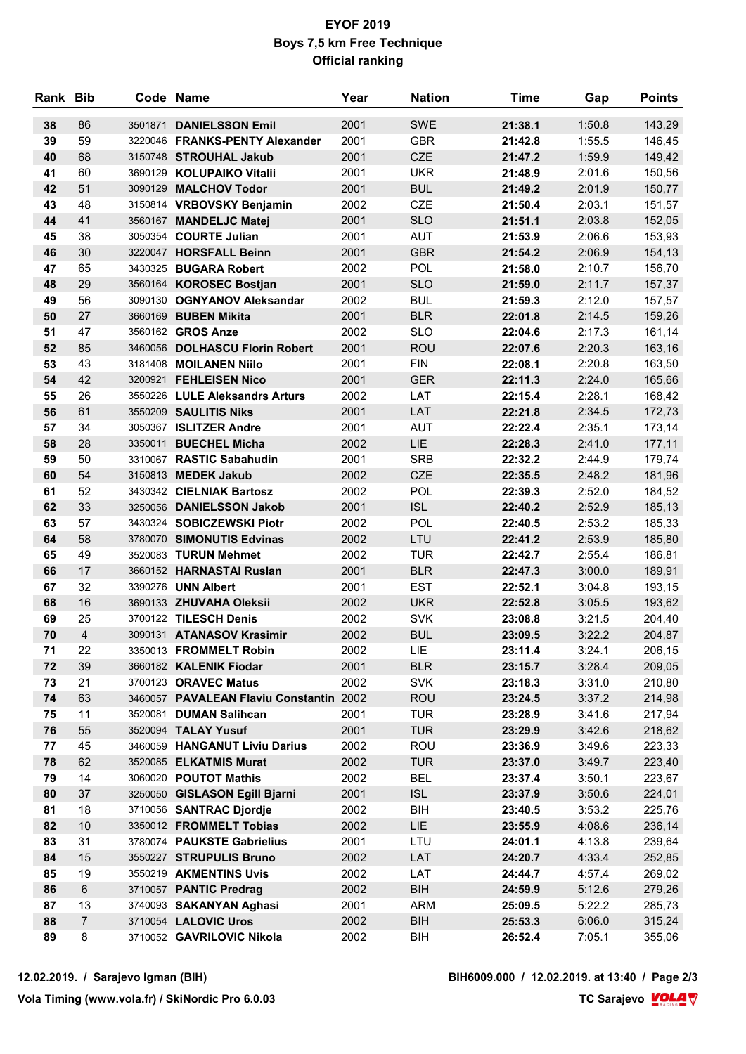### EYOF 2019 Boys 7,5 km Free Technique Official ranking

| Rank Bib |                |         | Code Name                               | Year | <b>Nation</b> | <b>Time</b> | Gap    | <b>Points</b> |
|----------|----------------|---------|-----------------------------------------|------|---------------|-------------|--------|---------------|
| 38       | 86             | 3501871 | <b>DANIELSSON Emil</b>                  | 2001 | <b>SWE</b>    | 21:38.1     | 1:50.8 | 143,29        |
| 39       | 59             |         | 3220046 FRANKS-PENTY Alexander          | 2001 | <b>GBR</b>    | 21:42.8     | 1:55.5 | 146,45        |
| 40       | 68             |         | 3150748 STROUHAL Jakub                  | 2001 | <b>CZE</b>    | 21:47.2     | 1:59.9 | 149,42        |
| 41       | 60             |         | 3690129 KOLUPAIKO Vitalii               | 2001 | <b>UKR</b>    | 21:48.9     | 2:01.6 | 150,56        |
| 42       | 51             |         | 3090129 MALCHOV Todor                   | 2001 | <b>BUL</b>    | 21:49.2     | 2:01.9 | 150,77        |
| 43       | 48             |         | 3150814 VRBOVSKY Benjamin               | 2002 | <b>CZE</b>    | 21:50.4     | 2:03.1 | 151,57        |
| 44       | 41             |         | 3560167 MANDELJC Matej                  | 2001 | <b>SLO</b>    | 21:51.1     | 2:03.8 | 152,05        |
| 45       | 38             |         | 3050354 COURTE Julian                   | 2001 | <b>AUT</b>    | 21:53.9     | 2:06.6 | 153,93        |
| 46       | 30             |         | 3220047 HORSFALL Beinn                  | 2001 | <b>GBR</b>    | 21:54.2     | 2:06.9 | 154,13        |
| 47       | 65             |         | 3430325 BUGARA Robert                   | 2002 | <b>POL</b>    | 21:58.0     | 2:10.7 | 156,70        |
| 48       | 29             |         | 3560164 KOROSEC Bostjan                 | 2001 | <b>SLO</b>    | 21:59.0     | 2:11.7 | 157,37        |
| 49       | 56             |         | 3090130 OGNYANOV Aleksandar             | 2002 | <b>BUL</b>    | 21:59.3     | 2:12.0 | 157,57        |
| 50       | 27             |         | 3660169 BUBEN Mikita                    | 2001 | <b>BLR</b>    | 22:01.8     | 2:14.5 | 159,26        |
| 51       | 47             |         | 3560162 GROS Anze                       | 2002 | <b>SLO</b>    | 22:04.6     | 2:17.3 | 161,14        |
| 52       | 85             |         | 3460056 DOLHASCU Florin Robert          | 2001 | ROU           | 22:07.6     | 2:20.3 | 163,16        |
| 53       | 43             |         | 3181408 MOILANEN Niilo                  | 2001 | <b>FIN</b>    | 22:08.1     | 2:20.8 | 163,50        |
| 54       | 42             |         | 3200921 FEHLEISEN Nico                  | 2001 | <b>GER</b>    | 22:11.3     | 2:24.0 | 165,66        |
| 55       | 26             |         | 3550226 LULE Aleksandrs Arturs          | 2002 | LAT           | 22:15.4     | 2:28.1 | 168,42        |
| 56       | 61             |         | 3550209 SAULITIS Niks                   | 2001 | LAT           | 22:21.8     | 2:34.5 | 172,73        |
| 57       | 34             |         | 3050367 ISLITZER Andre                  | 2001 | <b>AUT</b>    | 22:22.4     | 2:35.1 | 173,14        |
| 58       | 28             |         | 3350011 BUECHEL Micha                   | 2002 | LIE.          | 22:28.3     | 2:41.0 | 177,11        |
| 59       | 50             |         | 3310067 RASTIC Sabahudin                | 2001 | <b>SRB</b>    | 22:32.2     | 2:44.9 | 179,74        |
| 60       | 54             |         | 3150813 MEDEK Jakub                     | 2002 | <b>CZE</b>    | 22:35.5     | 2:48.2 | 181,96        |
| 61       | 52             |         | 3430342 CIELNIAK Bartosz                | 2002 | <b>POL</b>    | 22:39.3     | 2:52.0 | 184,52        |
| 62       | 33             |         | 3250056 DANIELSSON Jakob                | 2001 | <b>ISL</b>    | 22:40.2     | 2:52.9 | 185,13        |
| 63       | 57             |         | 3430324 SOBICZEWSKI Piotr               | 2002 | <b>POL</b>    | 22:40.5     | 2:53.2 | 185,33        |
| 64       | 58             |         | 3780070 SIMONUTIS Edvinas               | 2002 | LTU           | 22:41.2     | 2:53.9 | 185,80        |
| 65       | 49             |         | 3520083 TURUN Mehmet                    | 2002 | <b>TUR</b>    | 22:42.7     | 2:55.4 | 186,81        |
| 66       | 17             |         | 3660152 HARNASTAI Ruslan                | 2001 | <b>BLR</b>    | 22:47.3     | 3:00.0 | 189,91        |
| 67       | 32             |         | 3390276 UNN Albert                      | 2001 | <b>EST</b>    | 22:52.1     | 3:04.8 | 193,15        |
| 68       | 16             |         | 3690133 ZHUVAHA Oleksii                 | 2002 | <b>UKR</b>    | 22:52.8     | 3:05.5 | 193,62        |
| 69       | 25             |         | 3700122 TILESCH Denis                   | 2002 | <b>SVK</b>    | 23:08.8     | 3:21.5 | 204,40        |
| 70       | $\overline{4}$ |         | 3090131 ATANASOV Krasimir               | 2002 | <b>BUL</b>    | 23:09.5     | 3:22.2 | 204,87        |
| 71       | 22             |         | 3350013 FROMMELT Robin                  | 2002 | LIE           | 23:11.4     | 3:24.1 | 206,15        |
| 72       | 39             |         | 3660182 KALENIK Fiodar                  | 2001 | <b>BLR</b>    | 23:15.7     | 3:28.4 | 209,05        |
| 73       | 21             |         | 3700123 ORAVEC Matus                    | 2002 | <b>SVK</b>    | 23:18.3     | 3:31.0 | 210,80        |
| 74       | 63             |         | 3460057 PAVALEAN Flaviu Constantin 2002 |      | <b>ROU</b>    | 23:24.5     | 3:37.2 | 214,98        |
| 75       | 11             |         | 3520081 DUMAN Salihcan                  | 2001 | <b>TUR</b>    | 23:28.9     | 3:41.6 | 217,94        |
| 76       | 55             |         | 3520094 TALAY Yusuf                     | 2001 | <b>TUR</b>    | 23:29.9     | 3:42.6 | 218,62        |
| 77       | 45             |         | 3460059 HANGANUT Liviu Darius           | 2002 | <b>ROU</b>    | 23:36.9     | 3:49.6 | 223,33        |
| 78       | 62             |         | 3520085 ELKATMIS Murat                  | 2002 | <b>TUR</b>    | 23:37.0     | 3:49.7 | 223,40        |
| 79       | 14             |         | 3060020 POUTOT Mathis                   | 2002 | <b>BEL</b>    | 23:37.4     | 3:50.1 | 223,67        |
| 80       | 37             |         | 3250050 GISLASON Egill Bjarni           | 2001 | <b>ISL</b>    | 23:37.9     | 3:50.6 | 224,01        |
| 81       | 18             |         | 3710056 SANTRAC Djordje                 | 2002 | <b>BIH</b>    | 23:40.5     | 3:53.2 | 225,76        |
| 82       | 10             |         | 3350012 FROMMELT Tobias                 | 2002 | <b>LIE</b>    | 23:55.9     | 4:08.6 | 236,14        |
| 83       | 31             |         | 3780074 PAUKSTE Gabrielius              | 2001 | LTU           | 24:01.1     | 4:13.8 | 239,64        |
| 84       | 15             |         | 3550227 STRUPULIS Bruno                 | 2002 | LAT           | 24:20.7     | 4:33.4 | 252,85        |
| 85       | 19             |         | 3550219 AKMENTINS Uvis                  | 2002 | LAT           | 24:44.7     | 4:57.4 | 269,02        |
| 86       | $\,6\,$        |         | 3710057 PANTIC Predrag                  | 2002 | <b>BIH</b>    | 24:59.9     | 5:12.6 | 279,26        |
| 87       | 13             |         | 3740093 SAKANYAN Aghasi                 | 2001 | <b>ARM</b>    | 25:09.5     | 5:22.2 | 285,73        |
| 88       | $\overline{7}$ |         | 3710054 LALOVIC Uros                    | 2002 | <b>BIH</b>    | 25:53.3     | 6:06.0 | 315,24        |
| 89       | 8              |         | 3710052 GAVRILOVIC Nikola               | 2002 | <b>BIH</b>    | 26:52.4     | 7:05.1 | 355,06        |

12.02.2019. / Sarajevo Igman (BIH) BIH6009.000 / 12.02.2019. at 13:40 / Page 2/3